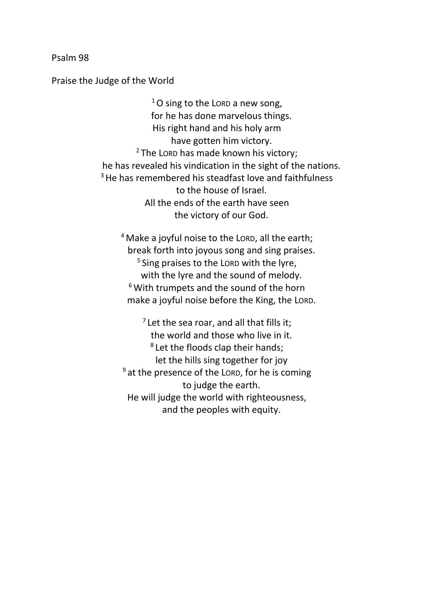Psalm 98

Praise the Judge of the World

 $1$ O sing to the LORD a new song, for he has done marvelous things. His right hand and his holy arm have gotten him victory.  $2$  The LORD has made known his victory; he has revealed his vindication in the sight of the nations. <sup>3</sup> He has remembered his steadfast love and faithfulness to the house of Israel. All the ends of the earth have seen the victory of our God.

<sup>4</sup> Make a joyful noise to the LORD, all the earth; break forth into joyous song and sing praises. <sup>5</sup> Sing praises to the LORD with the lyre, with the lyre and the sound of melody.  $6$  With trumpets and the sound of the horn make a joyful noise before the King, the LORD.

 $<sup>7</sup>$  Let the sea roar, and all that fills it;</sup> the world and those who live in it. <sup>8</sup> Let the floods clap their hands; let the hills sing together for joy  $9$  at the presence of the LORD, for he is coming to judge the earth. He will judge the world with righteousness, and the peoples with equity.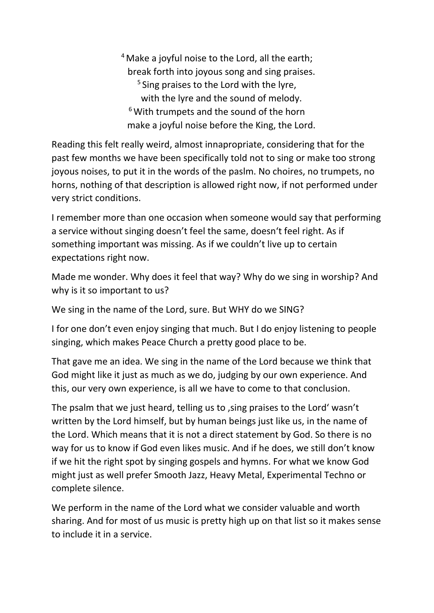$4$  Make a joyful noise to the Lord, all the earth; break forth into joyous song and sing praises. <sup>5</sup> Sing praises to the Lord with the lyre, with the lyre and the sound of melody.  $6$  With trumpets and the sound of the horn make a joyful noise before the King, the Lord.

Reading this felt really weird, almost innapropriate, considering that for the past few months we have been specifically told not to sing or make too strong joyous noises, to put it in the words of the paslm. No choires, no trumpets, no horns, nothing of that description is allowed right now, if not performed under very strict conditions.

I remember more than one occasion when someone would say that performing a service without singing doesn't feel the same, doesn't feel right. As if something important was missing. As if we couldn't live up to certain expectations right now.

Made me wonder. Why does it feel that way? Why do we sing in worship? And why is it so important to us?

We sing in the name of the Lord, sure. But WHY do we SING?

I for one don't even enjoy singing that much. But I do enjoy listening to people singing, which makes Peace Church a pretty good place to be.

That gave me an idea. We sing in the name of the Lord because we think that God might like it just as much as we do, judging by our own experience. And this, our very own experience, is all we have to come to that conclusion.

The psalm that we just heard, telling us to , sing praises to the Lord' wasn't written by the Lord himself, but by human beings just like us, in the name of the Lord. Which means that it is not a direct statement by God. So there is no way for us to know if God even likes music. And if he does, we still don't know if we hit the right spot by singing gospels and hymns. For what we know God might just as well prefer Smooth Jazz, Heavy Metal, Experimental Techno or complete silence.

We perform in the name of the Lord what we consider valuable and worth sharing. And for most of us music is pretty high up on that list so it makes sense to include it in a service.